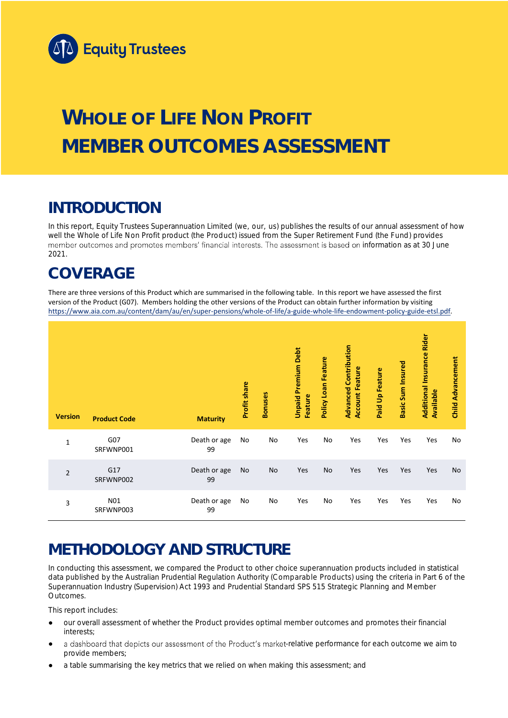

# **WHOLE OF LIFE NON PROFIT MEMBER OUTCOMES ASSESSMENT**

## **INTRODUCTION**

In this report, Equity Trustees Superannuation Limited (we, our, us) publishes the results of our annual assessment of how well the Whole of Life Non Profit product (the Product) issued from the Super Retirement Fund (the Fund) provides member outcomes and promotes members' financial interests. The assessment is based on information as at 30 June 2021.

## **COVERAGE**

There are three versions of this Product which are summarised in the following table. In this report we have assessed the first version of the Product (G07). Members holding the other versions of the Product can obtain further information by visiting [https://www.aia.com.au/content/dam/au/en/super-pensions/whole-of-life/a-guide-whole-life-endowment-policy-guide-etsl.pdf.](https://www.aia.com.au/content/dam/au/en/super-pensions/whole-of-life/a-guide-whole-life-endowment-policy-guide-etsl.pdf)

| <b>Version</b> | <b>Product Code</b> | <b>Maturity</b>    | Profit share | <b>Bonuses</b> | <b>Unpaid Premium Debt</b><br>Feature | Feature<br>Policy Loan | <b>Advanced Contribution</b><br><b>Account Feature</b> | <b>Paid Up Feature</b> | <b>Basic Sum Insured</b> | <b>Additional Insurance Rider</b><br><b>Available</b> | <b>Child Advancement</b> |
|----------------|---------------------|--------------------|--------------|----------------|---------------------------------------|------------------------|--------------------------------------------------------|------------------------|--------------------------|-------------------------------------------------------|--------------------------|
| $\mathbf{1}$   | G07<br>SRFWNP001    | Death or age<br>99 | No           | No             | Yes                                   | No                     | Yes                                                    | Yes                    | Yes                      | Yes                                                   | No                       |
| $\overline{2}$ | G17<br>SRFWNP002    | Death or age<br>99 | No           | No             | Yes                                   | No                     | Yes                                                    | Yes                    | Yes                      | Yes                                                   | No                       |
| 3              | N01<br>SRFWNP003    | Death or age<br>99 | No           | No             | Yes                                   | No                     | Yes                                                    | Yes                    | Yes                      | Yes                                                   | No                       |

## **METHODOLOGY AND STRUCTURE**

In conducting this assessment, we compared the Product to other choice superannuation products included in statistical data published by the Australian Prudential Regulation Authority (Comparable Products) using the criteria in Part 6 of the *Superannuation Industry (Supervision) Act 1993* and Prudential Standard SPS 515 *Strategic Planning and Member Outcomes*.

This report includes:

- our overall assessment of whether the Product provides optimal member outcomes and promotes their financial interests;
- a dashboard that depicts our assessment of the Product's market-relative performance for each outcome we aim to provide members;
- a table summarising the key metrics that we relied on when making this assessment; and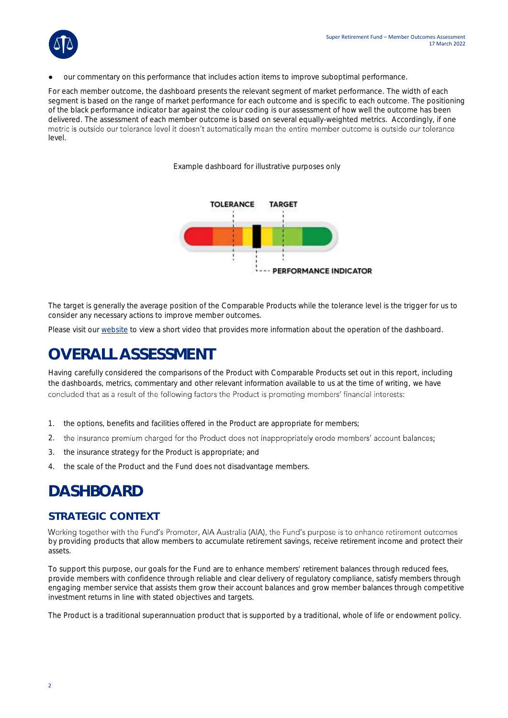

our commentary on this performance that includes action items to improve suboptimal performance.

For each member outcome, the dashboard presents the relevant segment of market performance. The width of each segment is based on the range of market performance for each outcome and is specific to each outcome. The positioning of the black performance indicator bar against the colour coding is our assessment of how well the outcome has been delivered. The assessment of each member outcome is based on several equally-weighted metrics. Accordingly, if one metric is outside our tolerance level it doesn't automatically mean the entire member outcome is outside our tolerance level.

*Example dashboard for illustrative purposes only*



The target is generally the average position of the Comparable Products while the tolerance level is the trigger for us to consider any necessary actions to improve member outcomes.

Please visit our [website](https://www.eqt.com.au/superannuation) to view a short video that provides more information about the operation of the dashboard.

## **OVERALL ASSESSMENT**

Having carefully considered the comparisons of the Product with Comparable Products set out in this report, including the dashboards, metrics, commentary and other relevant information available to us at the time of writing, we have concluded that as a result of the following factors the Product is promoting members' financial interests:

- 1. the options, benefits and facilities offered in the Product are appropriate for members;
- 2. the insurance premium charged for the Product does not inappropriately erode members' account balances;
- 3. the insurance strategy for the Product is appropriate; and
- 4. the scale of the Product and the Fund does not disadvantage members.

## **DASHBOARD**

### **STRATEGIC CONTEXT**

Working together with the Fund's Promoter, AIA Australia (AIA), the Fund's purpose is to enhance retirement outcomes by providing products that allow members to accumulate retirement savings, receive retirement income and protect their assets.

To support this purpose, our goals for the Fund are to enhance members' retirement balances through reduced fees, provide members with confidence through reliable and clear delivery of regulatory compliance, satisfy members through engaging member service that assists them grow their account balances and grow member balances through competitive investment returns in line with stated objectives and targets.

The Product is a traditional superannuation product that is supported by a traditional, whole of life or endowment policy.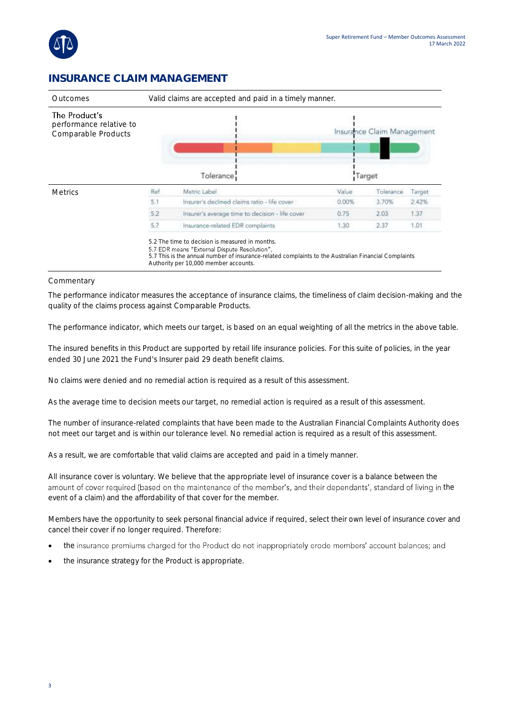

### **INSURANCE CLAIM MANAGEMENT**

| Valid claims are accepted and paid in a timely manner.<br>Outcomes |                                                 |       |           |                                      |  |
|--------------------------------------------------------------------|-------------------------------------------------|-------|-----------|--------------------------------------|--|
|                                                                    | Tolerance:                                      |       |           |                                      |  |
| Ref                                                                | Metric Label                                    | Value | Tolerance | Target                               |  |
| 5.1                                                                | Insurer's declined claims ratio - life cover    | 0.00% | 3.70%     | 2.42%                                |  |
| 5.2                                                                | Insurer's average time to decision - life cover | 0.75  | 2.03      | 1.37                                 |  |
| 5.7                                                                | Insurance-related EDR complaints                | 1.30  | 2.37      | 1.01                                 |  |
|                                                                    |                                                 |       |           | Insurance Claim Management<br>Target |  |

Authority per 10,000 member accounts.

#### **Commentary**

The performance indicator measures the acceptance of insurance claims, the timeliness of claim decision-making and the quality of the claims process against Comparable Products.

The performance indicator, which meets our target, is based on an equal weighting of all the metrics in the above table.

The insured benefits in this Product are supported by retail life insurance policies. For this suite of policies, in the year ended 30 June 2021 the Fund's Insurer paid 29 death benefit claims.

No claims were denied and no remedial action is required as a result of this assessment.

As the average time to decision meets our target, no remedial action is required as a result of this assessment.

The number of insurance-related complaints that have been made to the Australian Financial Complaints Authority does not meet our target and is within our tolerance level. No remedial action is required as a result of this assessment.

As a result, we are comfortable that valid claims are accepted and paid in a timely manner.

All insurance cover is voluntary. We believe that the appropriate level of insurance cover is a balance between the amount of cover required (based on the maintenance of the member's, and their dependants', standard of living in the event of a claim) and the affordability of that cover for the member.

Members have the opportunity to seek personal financial advice if required, select their own level of insurance cover and cancel their cover if no longer required. Therefore:

- the insurance premiums charged for the Product do not inappropriately erode members' account balances; and
- the insurance strategy for the Product is appropriate.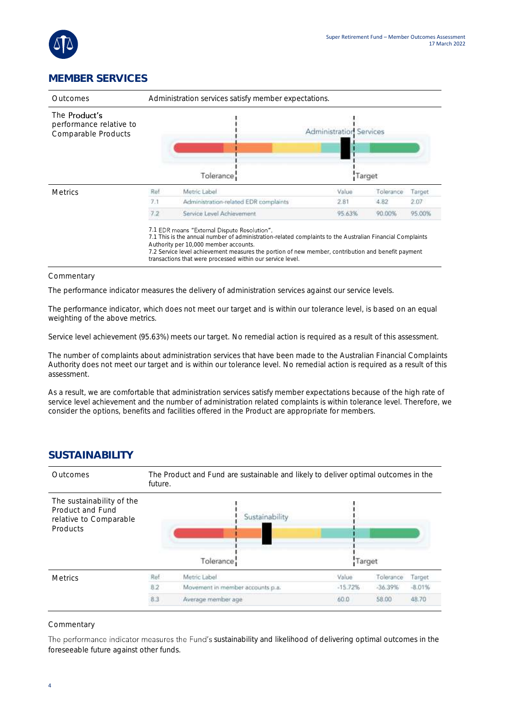

### **MEMBER SERVICES**

| Administration services satisfy member expectations.<br>Outcomes       |     |                                                                                                                                                                                                                                                                                                                                                                        |                                          |           |        |
|------------------------------------------------------------------------|-----|------------------------------------------------------------------------------------------------------------------------------------------------------------------------------------------------------------------------------------------------------------------------------------------------------------------------------------------------------------------------|------------------------------------------|-----------|--------|
| The <b>Product's</b><br>performance relative to<br>Comparable Products |     | Tolerance                                                                                                                                                                                                                                                                                                                                                              | <b>Administration Services</b><br>Target |           |        |
| <b>Metrics</b>                                                         | Ref | Metric Label                                                                                                                                                                                                                                                                                                                                                           | Value                                    | Tolerance | Target |
|                                                                        | 7.1 | Administration-related EDR complaints                                                                                                                                                                                                                                                                                                                                  | 2.81                                     | 4.82      | 2.07   |
|                                                                        | 7.2 | Service Level Achievement.                                                                                                                                                                                                                                                                                                                                             | 95.63%                                   | 90.00%    | 95.00% |
|                                                                        |     | 7.1 EDR means "External Dispute Resolution".<br>7.1 This is the annual number of administration-related complaints to the Australian Financial Complaints<br>Authority per 10,000 member accounts.<br>7.2 Service level achievement measures the portion of new member, contribution and benefit payment<br>transactions that were processed within our service level. |                                          |           |        |

#### Commentary

The performance indicator measures the delivery of administration services against our service levels.

The performance indicator, which does not meet our target and is within our tolerance level, is based on an equal weighting of the above metrics.

Service level achievement (95.63%) meets our target. No remedial action is required as a result of this assessment.

The number of complaints about administration services that have been made to the Australian Financial Complaints Authority does not meet our target and is within our tolerance level. No remedial action is required as a result of this assessment.

As a result, we are comfortable that administration services satisfy member expectations because of the high rate of service level achievement and the number of administration related complaints is within tolerance level. Therefore, we consider the options, benefits and facilities offered in the Product are appropriate for members.

### **SUSTAINABILITY**

| <b>Outcomes</b>                                                                            | The Product and Fund are sustainable and likely to deliver optimal outcomes in the<br>future. |                                  |           |           |          |  |  |  |
|--------------------------------------------------------------------------------------------|-----------------------------------------------------------------------------------------------|----------------------------------|-----------|-----------|----------|--|--|--|
| The sustainability of the<br>Product and Fund<br>relative to Comparable<br><b>Products</b> |                                                                                               | Sustainability<br>Tolerance      | Target    |           |          |  |  |  |
| <b>Metrics</b>                                                                             | Ref                                                                                           | Metric Label                     | Value     | Tolerance | Target   |  |  |  |
|                                                                                            | 8.2                                                                                           | Movement in member accounts p.a. | $-15.72%$ | $-36.39%$ | $-8.01%$ |  |  |  |
|                                                                                            | 8.3                                                                                           | Average member age               | 60.0      | 58.00     | 48.70    |  |  |  |

#### **Commentary**

The performance indicator measures the Fund's sustainability and likelihood of delivering optimal outcomes in the foreseeable future against other funds.